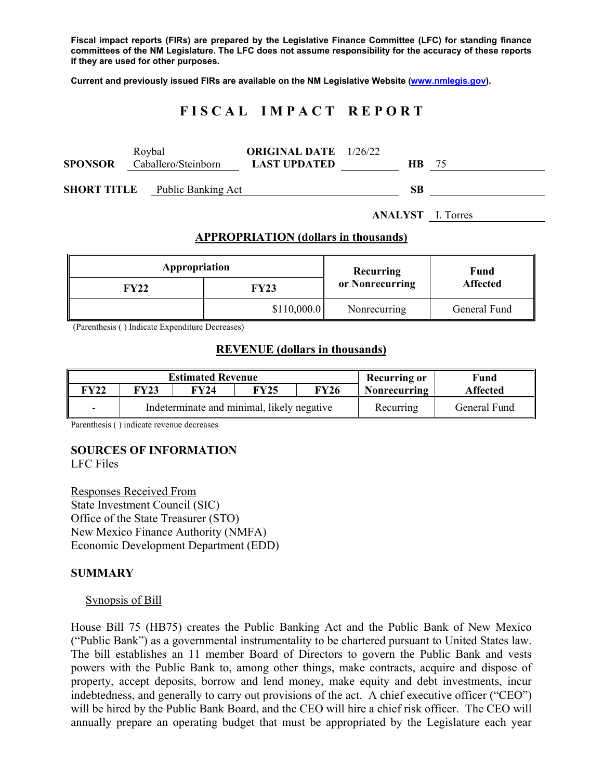**Fiscal impact reports (FIRs) are prepared by the Legislative Finance Committee (LFC) for standing finance committees of the NM Legislature. The LFC does not assume responsibility for the accuracy of these reports if they are used for other purposes.** 

**Current and previously issued FIRs are available on the NM Legislative Website (www.nmlegis.gov).** 

# **F I S C A L I M P A C T R E P O R T**

| <b>SPONSOR</b>     | Roybal | Caballero/Steinborn | <b>ORIGINAL DATE</b> 1/26/22<br><b>LAST UPDATED</b> | HB. | 75 |
|--------------------|--------|---------------------|-----------------------------------------------------|-----|----|
| <b>SHORT TITLE</b> |        | Public Banking Act  |                                                     | SВ  |    |

**ANALYST** I. Torres

#### **APPROPRIATION (dollars in thousands)**

| Appropriation |             | Recurring       | Fund<br><b>Affected</b> |  |
|---------------|-------------|-----------------|-------------------------|--|
| FY22          | FY23        | or Nonrecurring |                         |  |
|               | \$110,000.0 |                 | General Fund            |  |

(Parenthesis ( ) Indicate Expenditure Decreases)

#### **REVENUE (dollars in thousands)**

| <b>Estimated Revenue</b> |                                            |      |             |             | <b>Recurring or</b> | Fund            |
|--------------------------|--------------------------------------------|------|-------------|-------------|---------------------|-----------------|
| <sup>-</sup> Y22         | FY23                                       | FY24 | <b>FY25</b> | <b>FY26</b> | <b>Nonrecurring</b> | <b>Affected</b> |
|                          | Indeterminate and minimal, likely negative |      |             |             | Recurring           | General Fund    |

Parenthesis ( ) indicate revenue decreases

### **SOURCES OF INFORMATION**

LFC Files

Responses Received From State Investment Council (SIC) Office of the State Treasurer (STO) New Mexico Finance Authority (NMFA) Economic Development Department (EDD)

#### **SUMMARY**

#### Synopsis of Bill

House Bill 75 (HB75) creates the Public Banking Act and the Public Bank of New Mexico ("Public Bank") as a governmental instrumentality to be chartered pursuant to United States law. The bill establishes an 11 member Board of Directors to govern the Public Bank and vests powers with the Public Bank to, among other things, make contracts, acquire and dispose of property, accept deposits, borrow and lend money, make equity and debt investments, incur indebtedness, and generally to carry out provisions of the act. A chief executive officer ("CEO") will be hired by the Public Bank Board, and the CEO will hire a chief risk officer. The CEO will annually prepare an operating budget that must be appropriated by the Legislature each year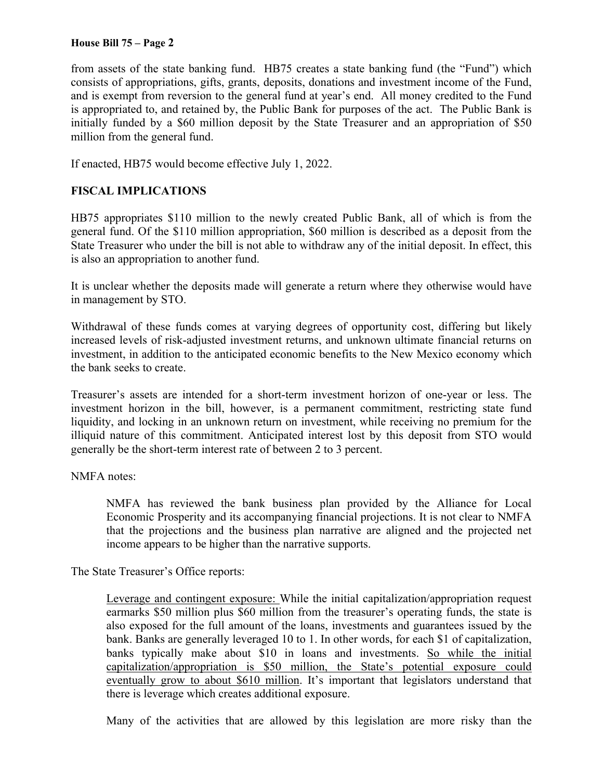### **House Bill 75 – Page 2**

from assets of the state banking fund. HB75 creates a state banking fund (the "Fund") which consists of appropriations, gifts, grants, deposits, donations and investment income of the Fund, and is exempt from reversion to the general fund at year's end. All money credited to the Fund is appropriated to, and retained by, the Public Bank for purposes of the act. The Public Bank is initially funded by a \$60 million deposit by the State Treasurer and an appropriation of \$50 million from the general fund.

If enacted, HB75 would become effective July 1, 2022.

## **FISCAL IMPLICATIONS**

HB75 appropriates \$110 million to the newly created Public Bank, all of which is from the general fund. Of the \$110 million appropriation, \$60 million is described as a deposit from the State Treasurer who under the bill is not able to withdraw any of the initial deposit. In effect, this is also an appropriation to another fund.

It is unclear whether the deposits made will generate a return where they otherwise would have in management by STO.

Withdrawal of these funds comes at varying degrees of opportunity cost, differing but likely increased levels of risk-adjusted investment returns, and unknown ultimate financial returns on investment, in addition to the anticipated economic benefits to the New Mexico economy which the bank seeks to create.

Treasurer's assets are intended for a short-term investment horizon of one-year or less. The investment horizon in the bill, however, is a permanent commitment, restricting state fund liquidity, and locking in an unknown return on investment, while receiving no premium for the illiquid nature of this commitment. Anticipated interest lost by this deposit from STO would generally be the short-term interest rate of between 2 to 3 percent.

### NMFA notes:

NMFA has reviewed the bank business plan provided by the Alliance for Local Economic Prosperity and its accompanying financial projections. It is not clear to NMFA that the projections and the business plan narrative are aligned and the projected net income appears to be higher than the narrative supports.

The State Treasurer's Office reports:

Leverage and contingent exposure: While the initial capitalization/appropriation request earmarks \$50 million plus \$60 million from the treasurer's operating funds, the state is also exposed for the full amount of the loans, investments and guarantees issued by the bank. Banks are generally leveraged 10 to 1. In other words, for each \$1 of capitalization, banks typically make about \$10 in loans and investments. So while the initial capitalization/appropriation is \$50 million, the State's potential exposure could eventually grow to about \$610 million. It's important that legislators understand that there is leverage which creates additional exposure.

Many of the activities that are allowed by this legislation are more risky than the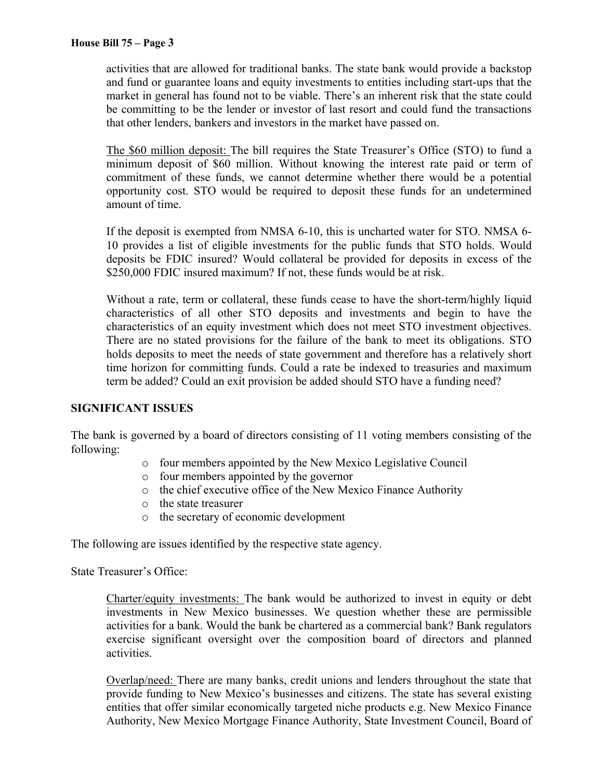activities that are allowed for traditional banks. The state bank would provide a backstop and fund or guarantee loans and equity investments to entities including start-ups that the market in general has found not to be viable. There's an inherent risk that the state could be committing to be the lender or investor of last resort and could fund the transactions that other lenders, bankers and investors in the market have passed on.

The \$60 million deposit: The bill requires the State Treasurer's Office (STO) to fund a minimum deposit of \$60 million. Without knowing the interest rate paid or term of commitment of these funds, we cannot determine whether there would be a potential opportunity cost. STO would be required to deposit these funds for an undetermined amount of time.

If the deposit is exempted from NMSA 6-10, this is uncharted water for STO. NMSA 6- 10 provides a list of eligible investments for the public funds that STO holds. Would deposits be FDIC insured? Would collateral be provided for deposits in excess of the \$250,000 FDIC insured maximum? If not, these funds would be at risk.

Without a rate, term or collateral, these funds cease to have the short-term/highly liquid characteristics of all other STO deposits and investments and begin to have the characteristics of an equity investment which does not meet STO investment objectives. There are no stated provisions for the failure of the bank to meet its obligations. STO holds deposits to meet the needs of state government and therefore has a relatively short time horizon for committing funds. Could a rate be indexed to treasuries and maximum term be added? Could an exit provision be added should STO have a funding need?

## **SIGNIFICANT ISSUES**

The bank is governed by a board of directors consisting of 11 voting members consisting of the following:

- o four members appointed by the New Mexico Legislative Council
- o four members appointed by the governor
- o the chief executive office of the New Mexico Finance Authority
- o the state treasurer
- o the secretary of economic development

The following are issues identified by the respective state agency.

State Treasurer's Office:

Charter/equity investments: The bank would be authorized to invest in equity or debt investments in New Mexico businesses. We question whether these are permissible activities for a bank. Would the bank be chartered as a commercial bank? Bank regulators exercise significant oversight over the composition board of directors and planned activities.

Overlap/need: There are many banks, credit unions and lenders throughout the state that provide funding to New Mexico's businesses and citizens. The state has several existing entities that offer similar economically targeted niche products e.g. New Mexico Finance Authority, New Mexico Mortgage Finance Authority, State Investment Council, Board of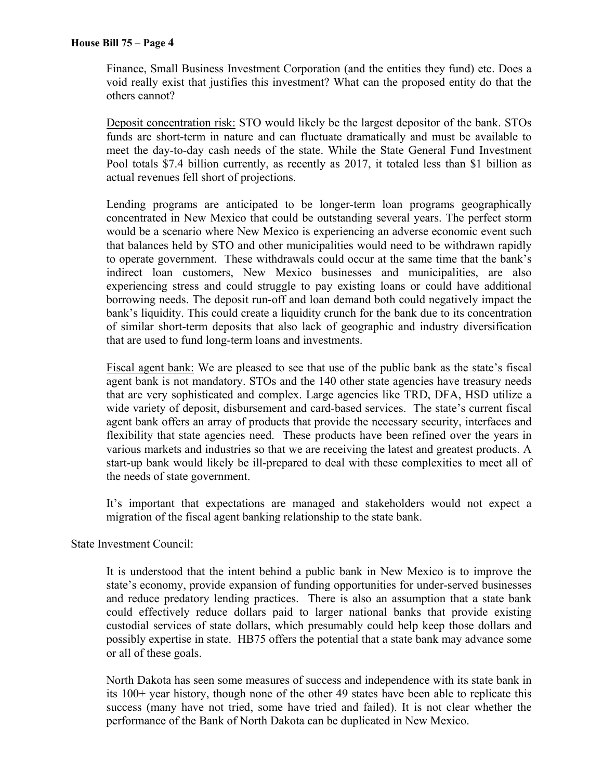Finance, Small Business Investment Corporation (and the entities they fund) etc. Does a void really exist that justifies this investment? What can the proposed entity do that the others cannot?

Deposit concentration risk: STO would likely be the largest depositor of the bank. STOs funds are short-term in nature and can fluctuate dramatically and must be available to meet the day-to-day cash needs of the state. While the State General Fund Investment Pool totals \$7.4 billion currently, as recently as 2017, it totaled less than \$1 billion as actual revenues fell short of projections.

Lending programs are anticipated to be longer-term loan programs geographically concentrated in New Mexico that could be outstanding several years. The perfect storm would be a scenario where New Mexico is experiencing an adverse economic event such that balances held by STO and other municipalities would need to be withdrawn rapidly to operate government. These withdrawals could occur at the same time that the bank's indirect loan customers, New Mexico businesses and municipalities, are also experiencing stress and could struggle to pay existing loans or could have additional borrowing needs. The deposit run-off and loan demand both could negatively impact the bank's liquidity. This could create a liquidity crunch for the bank due to its concentration of similar short-term deposits that also lack of geographic and industry diversification that are used to fund long-term loans and investments.

Fiscal agent bank: We are pleased to see that use of the public bank as the state's fiscal agent bank is not mandatory. STOs and the 140 other state agencies have treasury needs that are very sophisticated and complex. Large agencies like TRD, DFA, HSD utilize a wide variety of deposit, disbursement and card-based services. The state's current fiscal agent bank offers an array of products that provide the necessary security, interfaces and flexibility that state agencies need. These products have been refined over the years in various markets and industries so that we are receiving the latest and greatest products. A start-up bank would likely be ill-prepared to deal with these complexities to meet all of the needs of state government.

It's important that expectations are managed and stakeholders would not expect a migration of the fiscal agent banking relationship to the state bank.

State Investment Council:

It is understood that the intent behind a public bank in New Mexico is to improve the state's economy, provide expansion of funding opportunities for under-served businesses and reduce predatory lending practices. There is also an assumption that a state bank could effectively reduce dollars paid to larger national banks that provide existing custodial services of state dollars, which presumably could help keep those dollars and possibly expertise in state. HB75 offers the potential that a state bank may advance some or all of these goals.

North Dakota has seen some measures of success and independence with its state bank in its 100+ year history, though none of the other 49 states have been able to replicate this success (many have not tried, some have tried and failed). It is not clear whether the performance of the Bank of North Dakota can be duplicated in New Mexico.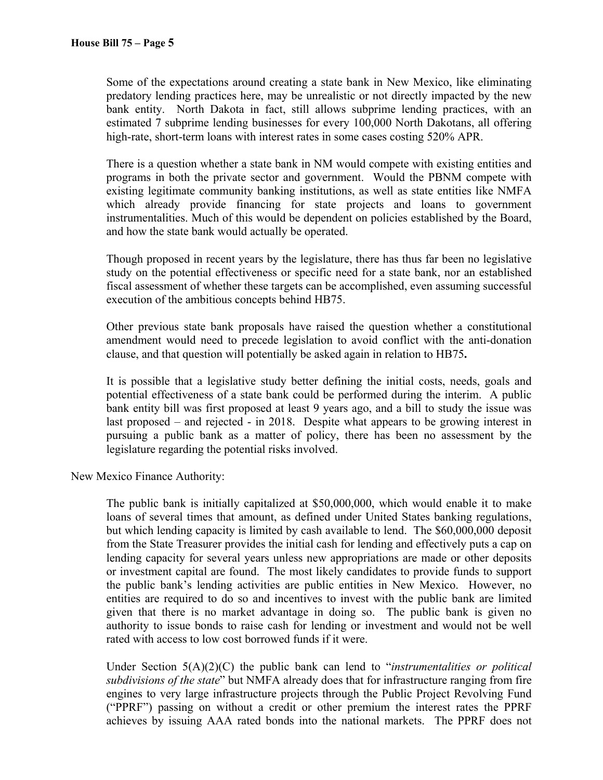Some of the expectations around creating a state bank in New Mexico, like eliminating predatory lending practices here, may be unrealistic or not directly impacted by the new bank entity. North Dakota in fact, still allows subprime lending practices, with an estimated 7 subprime lending businesses for every 100,000 North Dakotans, all offering high-rate, short-term loans with interest rates in some cases costing 520% APR.

There is a question whether a state bank in NM would compete with existing entities and programs in both the private sector and government. Would the PBNM compete with existing legitimate community banking institutions, as well as state entities like NMFA which already provide financing for state projects and loans to government instrumentalities. Much of this would be dependent on policies established by the Board, and how the state bank would actually be operated.

Though proposed in recent years by the legislature, there has thus far been no legislative study on the potential effectiveness or specific need for a state bank, nor an established fiscal assessment of whether these targets can be accomplished, even assuming successful execution of the ambitious concepts behind HB75.

Other previous state bank proposals have raised the question whether a constitutional amendment would need to precede legislation to avoid conflict with the anti-donation clause, and that question will potentially be asked again in relation to HB75**.** 

It is possible that a legislative study better defining the initial costs, needs, goals and potential effectiveness of a state bank could be performed during the interim. A public bank entity bill was first proposed at least 9 years ago, and a bill to study the issue was last proposed – and rejected - in 2018. Despite what appears to be growing interest in pursuing a public bank as a matter of policy, there has been no assessment by the legislature regarding the potential risks involved.

New Mexico Finance Authority:

The public bank is initially capitalized at \$50,000,000, which would enable it to make loans of several times that amount, as defined under United States banking regulations, but which lending capacity is limited by cash available to lend. The \$60,000,000 deposit from the State Treasurer provides the initial cash for lending and effectively puts a cap on lending capacity for several years unless new appropriations are made or other deposits or investment capital are found. The most likely candidates to provide funds to support the public bank's lending activities are public entities in New Mexico. However, no entities are required to do so and incentives to invest with the public bank are limited given that there is no market advantage in doing so. The public bank is given no authority to issue bonds to raise cash for lending or investment and would not be well rated with access to low cost borrowed funds if it were.

Under Section 5(A)(2)(C) the public bank can lend to "*instrumentalities or political subdivisions of the state*" but NMFA already does that for infrastructure ranging from fire engines to very large infrastructure projects through the Public Project Revolving Fund ("PPRF") passing on without a credit or other premium the interest rates the PPRF achieves by issuing AAA rated bonds into the national markets. The PPRF does not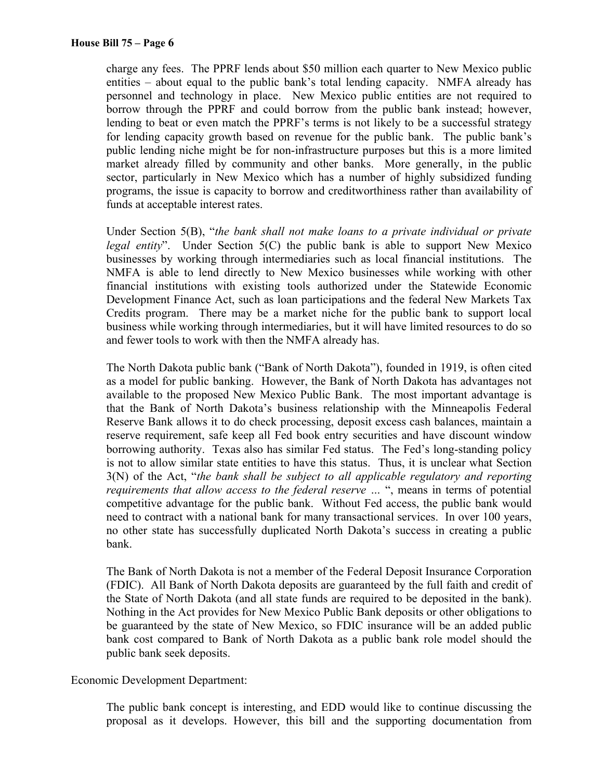charge any fees. The PPRF lends about \$50 million each quarter to New Mexico public entities – about equal to the public bank's total lending capacity. NMFA already has personnel and technology in place. New Mexico public entities are not required to borrow through the PPRF and could borrow from the public bank instead; however, lending to beat or even match the PPRF's terms is not likely to be a successful strategy for lending capacity growth based on revenue for the public bank. The public bank's public lending niche might be for non-infrastructure purposes but this is a more limited market already filled by community and other banks. More generally, in the public sector, particularly in New Mexico which has a number of highly subsidized funding programs, the issue is capacity to borrow and creditworthiness rather than availability of funds at acceptable interest rates.

Under Section 5(B), "*the bank shall not make loans to a private individual or private legal entity*". Under Section 5(C) the public bank is able to support New Mexico businesses by working through intermediaries such as local financial institutions. The NMFA is able to lend directly to New Mexico businesses while working with other financial institutions with existing tools authorized under the Statewide Economic Development Finance Act, such as loan participations and the federal New Markets Tax Credits program. There may be a market niche for the public bank to support local business while working through intermediaries, but it will have limited resources to do so and fewer tools to work with then the NMFA already has.

The North Dakota public bank ("Bank of North Dakota"), founded in 1919, is often cited as a model for public banking. However, the Bank of North Dakota has advantages not available to the proposed New Mexico Public Bank. The most important advantage is that the Bank of North Dakota's business relationship with the Minneapolis Federal Reserve Bank allows it to do check processing, deposit excess cash balances, maintain a reserve requirement, safe keep all Fed book entry securities and have discount window borrowing authority. Texas also has similar Fed status. The Fed's long-standing policy is not to allow similar state entities to have this status. Thus, it is unclear what Section 3(N) of the Act, "*the bank shall be subject to all applicable regulatory and reporting requirements that allow access to the federal reserve …* ", means in terms of potential competitive advantage for the public bank. Without Fed access, the public bank would need to contract with a national bank for many transactional services. In over 100 years, no other state has successfully duplicated North Dakota's success in creating a public bank.

The Bank of North Dakota is not a member of the Federal Deposit Insurance Corporation (FDIC). All Bank of North Dakota deposits are guaranteed by the full faith and credit of the State of North Dakota (and all state funds are required to be deposited in the bank). Nothing in the Act provides for New Mexico Public Bank deposits or other obligations to be guaranteed by the state of New Mexico, so FDIC insurance will be an added public bank cost compared to Bank of North Dakota as a public bank role model should the public bank seek deposits.

Economic Development Department:

The public bank concept is interesting, and EDD would like to continue discussing the proposal as it develops. However, this bill and the supporting documentation from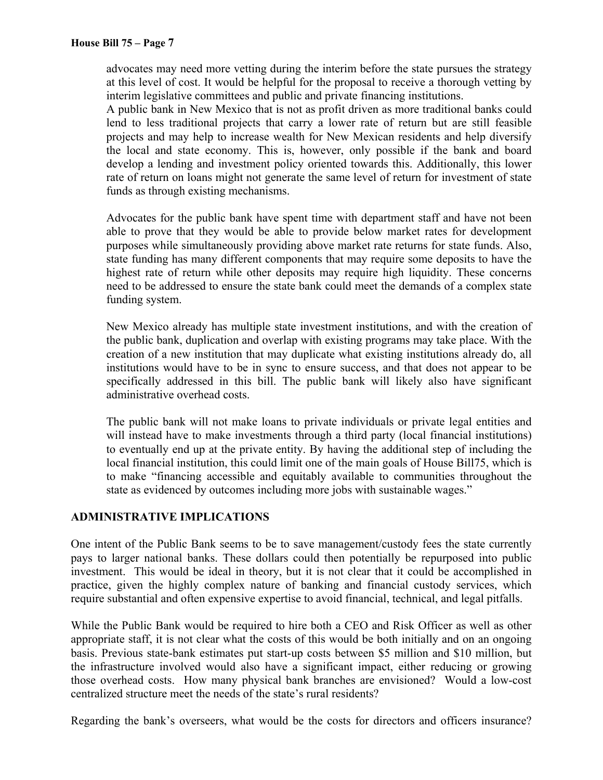advocates may need more vetting during the interim before the state pursues the strategy at this level of cost. It would be helpful for the proposal to receive a thorough vetting by interim legislative committees and public and private financing institutions.

A public bank in New Mexico that is not as profit driven as more traditional banks could lend to less traditional projects that carry a lower rate of return but are still feasible projects and may help to increase wealth for New Mexican residents and help diversify the local and state economy. This is, however, only possible if the bank and board develop a lending and investment policy oriented towards this. Additionally, this lower rate of return on loans might not generate the same level of return for investment of state funds as through existing mechanisms.

Advocates for the public bank have spent time with department staff and have not been able to prove that they would be able to provide below market rates for development purposes while simultaneously providing above market rate returns for state funds. Also, state funding has many different components that may require some deposits to have the highest rate of return while other deposits may require high liquidity. These concerns need to be addressed to ensure the state bank could meet the demands of a complex state funding system.

New Mexico already has multiple state investment institutions, and with the creation of the public bank, duplication and overlap with existing programs may take place. With the creation of a new institution that may duplicate what existing institutions already do, all institutions would have to be in sync to ensure success, and that does not appear to be specifically addressed in this bill. The public bank will likely also have significant administrative overhead costs.

The public bank will not make loans to private individuals or private legal entities and will instead have to make investments through a third party (local financial institutions) to eventually end up at the private entity. By having the additional step of including the local financial institution, this could limit one of the main goals of House Bill75, which is to make "financing accessible and equitably available to communities throughout the state as evidenced by outcomes including more jobs with sustainable wages."

## **ADMINISTRATIVE IMPLICATIONS**

One intent of the Public Bank seems to be to save management/custody fees the state currently pays to larger national banks. These dollars could then potentially be repurposed into public investment. This would be ideal in theory, but it is not clear that it could be accomplished in practice, given the highly complex nature of banking and financial custody services, which require substantial and often expensive expertise to avoid financial, technical, and legal pitfalls.

While the Public Bank would be required to hire both a CEO and Risk Officer as well as other appropriate staff, it is not clear what the costs of this would be both initially and on an ongoing basis. Previous state-bank estimates put start-up costs between \$5 million and \$10 million, but the infrastructure involved would also have a significant impact, either reducing or growing those overhead costs. How many physical bank branches are envisioned? Would a low-cost centralized structure meet the needs of the state's rural residents?

Regarding the bank's overseers, what would be the costs for directors and officers insurance?